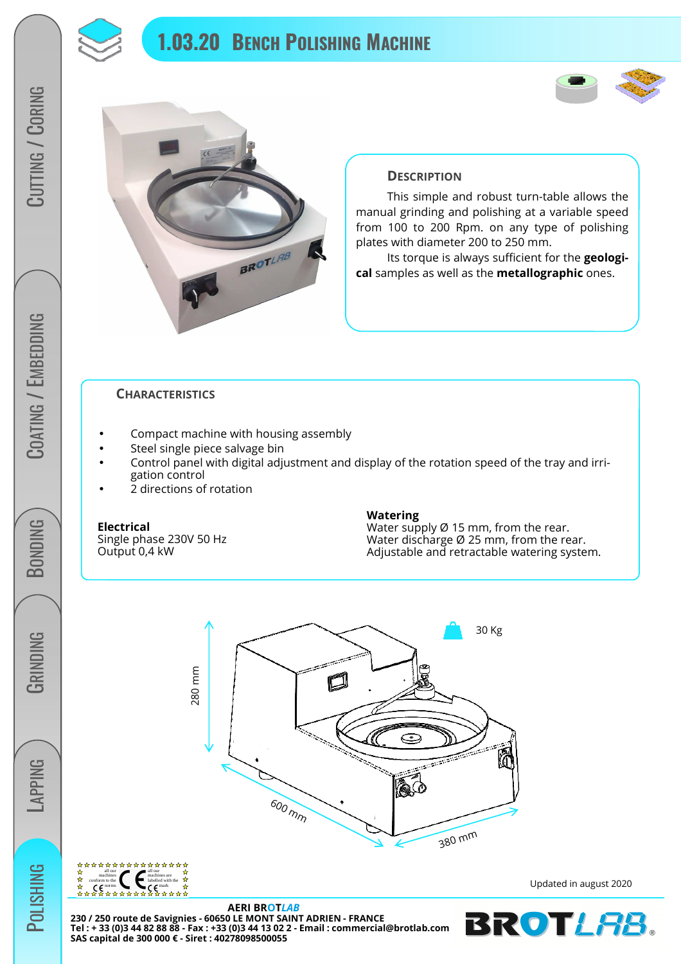

# **1.03.20 BENCH POLISHING MACHINE**





## **DESCRIPTION**

 This simple and robust turn-table allows the manual grinding and polishing at a variable speed from 100 to 200 Rpm. on any type of polishing plates with diameter 200 to 250 mm.

 Its torque is always sufficient for the **geological** samples as well as the **metallographic** ones.

### **CHARACTERISTICS**

- Compact machine with housing assembly
- Steel single piece salvage bin
- Control panel with digital adjustment and display of the rotation speed of the tray and irrigation control
- 2 directions of rotation

### **Electrical**

Single phase 230V 50 Hz Output 0,4 kW

#### **Watering**

Water supply Ø 15 mm, from the rear. Water discharge Ø 25 mm, from the rear. Adjustable and retractable watering system.





**AERI BROT***LAB* **230 / 250 route de Savignies - 60650 LE MONT SAINT ADRIEN - FRANCE Tel : + 33 (0)3 44 82 88 88 - Fax : +33 (0)3 44 13 02 2 - Email : commercial@brotlab.com SAS capital de 300 000 € - Siret : 40278098500055** 

Updated in august 2020



**GRINDING** 

LAPPING

**POLISHING**